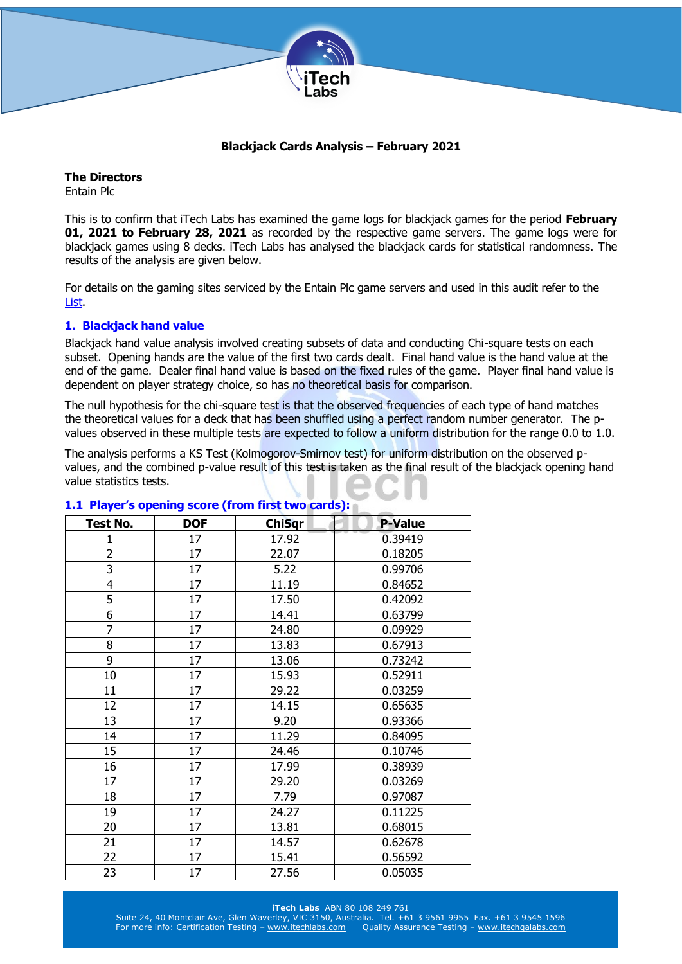

### **Blackjack Cards Analysis – February 2021**

**The Directors** Entain Plc

This is to confirm that iTech Labs has examined the game logs for blackjack games for the period **February 01, 2021 to February 28, 2021** as recorded by the respective game servers. The game logs were for blackjack games using 8 decks. iTech Labs has analysed the blackjack cards for statistical randomness. The results of the analysis are given below.

For details on the gaming sites serviced by the Entain Plc game servers and used in this audit refer to the [List.](http://www.itechlabs.com/certificates/GVC/Casino%20Gaming%20Sites.pdf)

## **1. Blackjack hand value**

Blackjack hand value analysis involved creating subsets of data and conducting Chi-square tests on each subset. Opening hands are the value of the first two cards dealt. Final hand value is the hand value at the end of the game. Dealer final hand value is based on the fixed rules of the game. Player final hand value is dependent on player strategy choice, so has no theoretical basis for comparison.

The null hypothesis for the chi-square test is that the observed frequencies of each type of hand matches the theoretical values for a deck that has been shuffled using a perfect random number generator. The pvalues observed in these multiple tests are expected to follow a uniform distribution for the range 0.0 to 1.0.

The analysis performs a KS Test (Kolmogorov-Smirnov test) for uniform distribution on the observed pvalues, and the combined p-value result of this test is taken as the final result of the blackjack opening hand value statistics tests.

| Test No.                | <b>DOF</b> | <b>ChiSqr</b> | <b>P-Value</b> |
|-------------------------|------------|---------------|----------------|
| 1                       | 17         | 17.92         | 0.39419        |
| $\overline{\mathbf{c}}$ | 17         | 22.07         | 0.18205        |
| $\overline{\mathbf{3}}$ | 17         | 5.22          | 0.99706        |
| 4                       | 17         | 11.19         | 0.84652        |
| 5                       | 17         | 17.50         | 0.42092        |
| 6                       | 17         | 14.41         | 0.63799        |
| $\overline{7}$          | 17         | 24.80         | 0.09929        |
| 8                       | 17         | 13.83         | 0.67913        |
| 9                       | 17         | 13.06         | 0.73242        |
| 10                      | 17         | 15.93         | 0.52911        |
| 11                      | 17         | 29.22         | 0.03259        |
| 12                      | 17         | 14.15         | 0.65635        |
| 13                      | 17         | 9.20          | 0.93366        |
| 14                      | 17         | 11.29         | 0.84095        |
| 15                      | 17         | 24.46         | 0.10746        |
| 16                      | 17         | 17.99         | 0.38939        |
| 17                      | 17         | 29.20         | 0.03269        |
| 18                      | 17         | 7.79          | 0.97087        |
| 19                      | 17         | 24.27         | 0.11225        |
| 20                      | 17         | 13.81         | 0.68015        |
| 21                      | 17         | 14.57         | 0.62678        |
| 22                      | 17         | 15.41         | 0.56592        |
| 23                      | 17         | 27.56         | 0.05035        |
|                         |            |               |                |

### **1.1 Player's opening score (from first two cards):**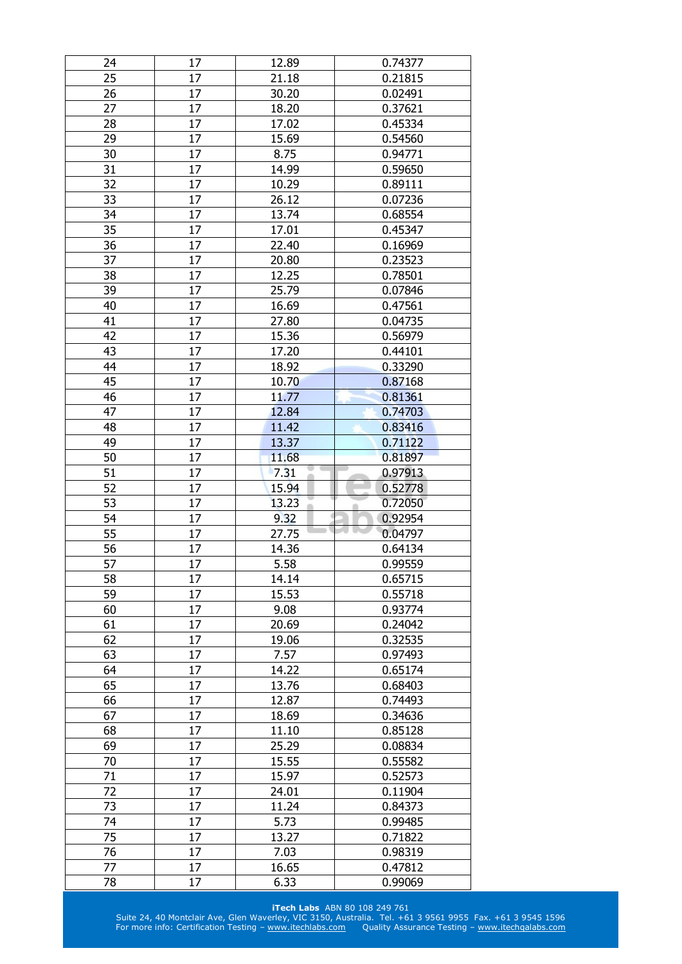| 24       | 17       | 12.89         | 0.74377            |
|----------|----------|---------------|--------------------|
| 25       | 17       | 21.18         | 0.21815            |
| 26       | 17       | 30.20         | 0.02491            |
| 27       | 17       | 18.20         | 0.37621            |
| 28       | 17       | 17.02         | 0.45334            |
| 29       | 17       | 15.69         | 0.54560            |
| 30       | 17       | 8.75          | 0.94771            |
| 31       | 17       | 14.99         | 0.59650            |
| 32       | 17       | 10.29         | 0.89111            |
| 33       | 17       | 26.12         | 0.07236            |
| 34       | 17       | 13.74         | 0.68554            |
| 35       | 17       | 17.01         | 0.45347            |
| 36       | 17       | 22.40         | 0.16969            |
| 37       | 17       | 20.80         | 0.23523            |
| 38       | 17       | 12.25         | 0.78501            |
| 39       | 17       | 25.79         | 0.07846            |
| 40       | 17       | 16.69         | 0.47561            |
| 41       | 17       | 27.80         | 0.04735            |
| 42       | 17       |               | 0.56979            |
|          |          | 15.36         |                    |
| 43       | 17       | 17.20         | 0.44101            |
| 44       | 17       | 18.92         | 0.33290            |
| 45       | 17       | 10.70         | 0.87168            |
| 46       | 17       | 11.77         | 0.81361            |
| 47       | 17       | 12.84         | 0.74703            |
| 48       | 17       | 11.42         | 0.83416            |
| 49       | 17       | 13.37         | 0.71122            |
| 50       | 17       | 11.68         | 0.81897            |
| 51       | 17       | 7.31          | 0.97913            |
| 52       | 17       | 15.94         | 0.52778            |
| 53       | 17       | 13.23         | 0.72050            |
| 54       | 17       | 9.32          | 0.92954            |
| 55       | 17       | 27.75         | 0.04797            |
| 56       | 17       | 14.36         | 0.64134            |
| 57       | 17       | 5.58          | 0.99559            |
| 58       | 17       | 14.14         | 0.65715            |
| 59       | 17       | 15.53         | 0.55718            |
| 60       | 17       | 9.08          | 0.93774            |
| 61       | 17       | 20.69         | 0.24042            |
| 62       | 17       | 19.06         | 0.32535            |
| 63       | 17       | 7.57          | 0.97493            |
| 64       | 17       | 14.22         | 0.65174            |
| 65       | 17       | 13.76         | 0.68403            |
| 66       | 17       | 12.87         | 0.74493            |
| 67       | 17       | 18.69         | 0.34636            |
| 68       | 17       | 11.10         | 0.85128            |
| 69       | 17       | 25.29         | 0.08834            |
| 70       |          |               |                    |
|          | 17       | 15.55         | 0.55582            |
| 71       | 17       | 15.97         | 0.52573            |
| 72       | 17       | 24.01         | 0.11904            |
| 73       | 17       | 11.24         | 0.84373            |
| 74       | 17       | 5.73          | 0.99485            |
|          |          |               |                    |
| 75       | 17       | 13.27         | 0.71822            |
| 76       | 17       | 7.03          | 0.98319            |
| 77<br>78 | 17<br>17 | 16.65<br>6.33 | 0.47812<br>0.99069 |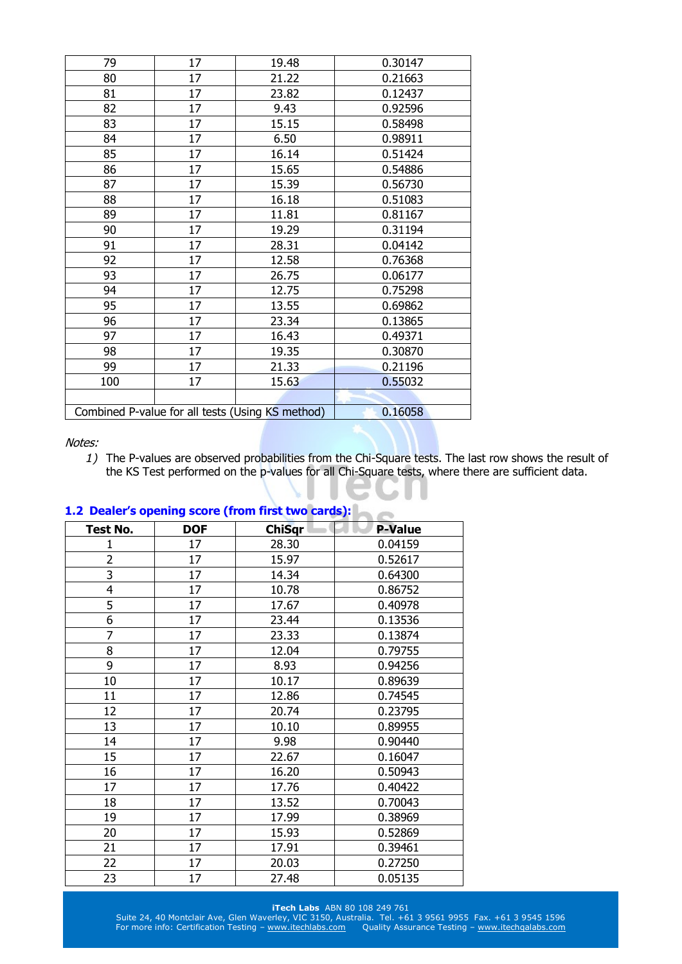| 79  | 17 | 19.48                                            | 0.30147 |
|-----|----|--------------------------------------------------|---------|
| 80  | 17 | 21.22                                            | 0.21663 |
| 81  | 17 | 23.82                                            | 0.12437 |
| 82  | 17 | 9.43                                             | 0.92596 |
| 83  | 17 | 15.15                                            | 0.58498 |
| 84  | 17 | 6.50                                             | 0.98911 |
| 85  | 17 | 16.14                                            | 0.51424 |
| 86  | 17 | 15.65                                            | 0.54886 |
| 87  | 17 | 15.39                                            | 0.56730 |
| 88  | 17 | 16.18                                            | 0.51083 |
| 89  | 17 | 11.81                                            | 0.81167 |
| 90  | 17 | 19.29                                            | 0.31194 |
| 91  | 17 | 28.31                                            | 0.04142 |
| 92  | 17 | 12.58                                            | 0.76368 |
| 93  | 17 | 26.75                                            | 0.06177 |
| 94  | 17 | 12.75                                            | 0.75298 |
| 95  | 17 | 13.55                                            | 0.69862 |
| 96  | 17 | 23.34                                            | 0.13865 |
| 97  | 17 | 16.43                                            | 0.49371 |
| 98  | 17 | 19.35                                            | 0.30870 |
| 99  | 17 | 21.33                                            | 0.21196 |
| 100 | 17 | 15.63                                            | 0.55032 |
|     |    |                                                  |         |
|     |    | Combined P-value for all tests (Using KS method) | 0.16058 |

*1)* The P-values are observed probabilities from the Chi-Square tests. The last row shows the result of the KS Test performed on the p-values for all Chi-Square tests, where there are sufficient data.

| Test No.       | <b>DOF</b> | <b>ChiSqr</b> | <b>P-Value</b> |
|----------------|------------|---------------|----------------|
| 1              | 17         | 28.30         | 0.04159        |
| $\overline{2}$ | 17         | 15.97         | 0.52617        |
| $\overline{3}$ | 17         | 14.34         | 0.64300        |
| 4              | 17         | 10.78         | 0.86752        |
| 5              | 17         | 17.67         | 0.40978        |
| 6              | 17         | 23.44         | 0.13536        |
| $\overline{7}$ | 17         | 23.33         | 0.13874        |
| 8              | 17         | 12.04         | 0.79755        |
| 9              | 17         | 8.93          | 0.94256        |
| 10             | 17         | 10.17         | 0.89639        |
| 11             | 17         | 12.86         | 0.74545        |
| 12             | 17         | 20.74         | 0.23795        |
| 13             | 17         | 10.10         | 0.89955        |
| 14             | 17         | 9.98          | 0.90440        |
| 15             | 17         | 22.67         | 0.16047        |
| 16             | 17         | 16.20         | 0.50943        |
| 17             | 17         | 17.76         | 0.40422        |
| 18             | 17         | 13.52         | 0.70043        |
| 19             | 17         | 17.99         | 0.38969        |
| 20             | 17         | 15.93         | 0.52869        |
| 21             | 17         | 17.91         | 0.39461        |
| 22             | 17         | 20.03         | 0.27250        |
| 23             | 17         | 27.48         | 0.05135        |

# **1.2 Dealer's opening score (from first two cards):**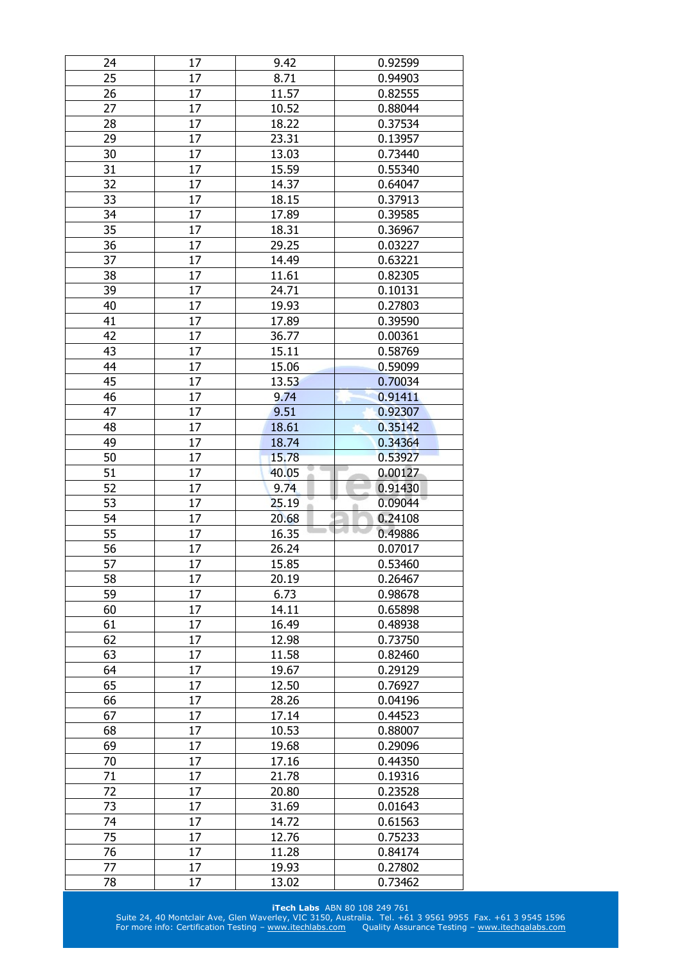| 24       | 17       | 9.42           | 0.92599            |
|----------|----------|----------------|--------------------|
| 25       | 17       | 8.71           | 0.94903            |
| 26       | 17       | 11.57          | 0.82555            |
| 27       | 17       | 10.52          | 0.88044            |
| 28       | 17       | 18.22          | 0.37534            |
| 29       | 17       | 23.31          | 0.13957            |
| 30       | 17       | 13.03          | 0.73440            |
| 31       | 17       | 15.59          | 0.55340            |
| 32       | 17       | 14.37          | 0.64047            |
| 33       | 17       | 18.15          | 0.37913            |
| 34       | 17       | 17.89          | 0.39585            |
| 35       | 17       | 18.31          | 0.36967            |
| 36       | 17       | 29.25          | 0.03227            |
| 37       | 17       | 14.49          | 0.63221            |
| 38       | 17       | 11.61          | 0.82305            |
| 39       | 17       | 24.71          | 0.10131            |
| 40       | 17       | 19.93          | 0.27803            |
| 41       | 17       | 17.89          | 0.39590            |
| 42       | 17       |                | 0.00361            |
|          |          | 36.77          |                    |
| 43       | 17       | 15.11          | 0.58769            |
| 44       | 17       | 15.06          | 0.59099            |
| 45       | 17       | 13.53          | 0.70034            |
| 46       | 17       | 9.74           | 0.91411            |
| 47       | 17       | 9.51           | 0.92307            |
| 48       | 17       | 18.61          | 0.35142            |
| 49       | 17       | 18.74          | 0.34364            |
| 50       | 17       | 15.78          | 0.53927            |
| 51       | 17       | 40.05          | 0.00127            |
| 52       | 17       | 9.74           | 0.91430            |
| 53       | 17       | 25.19          | 0.09044            |
| 54       | 17       | 20.68          | 0.24108            |
| 55       | 17       | 16.35          | 0.49886            |
|          |          |                | 0.07017            |
| 56       | 17       | 26.24          |                    |
| 57       | 17       | 15.85          | 0.53460            |
| 58       | 17       | 20.19          | 0.26467            |
| 59       | 17       | 6.73           | 0.98678            |
| 60       | 17       | 14.11          | 0.65898            |
| 61       | 17       | 16.49          | 0.48938            |
| 62       | 17       | 12.98          | 0.73750            |
| 63       | 17       | 11.58          | 0.82460            |
| 64       | 17       | 19.67          | 0.29129            |
| 65       | 17       | 12.50          | 0.76927            |
| 66       | 17       | 28.26          | 0.04196            |
| 67       | 17       | 17.14          | 0.44523            |
| 68       | 17       | 10.53          | 0.88007            |
| 69       | 17       | 19.68          | 0.29096            |
| 70       | 17       |                | 0.44350            |
| 71       | 17       | 17.16          |                    |
|          |          | 21.78          | 0.19316            |
| 72       | 17       | 20.80          | 0.23528            |
| 73       | 17       | 31.69          | 0.01643            |
| 74       | 17       | 14.72          | 0.61563            |
| 75       | 17       | 12.76          | 0.75233            |
| 76       | 17       | 11.28          | 0.84174            |
| 77<br>78 | 17<br>17 | 19.93<br>13.02 | 0.27802<br>0.73462 |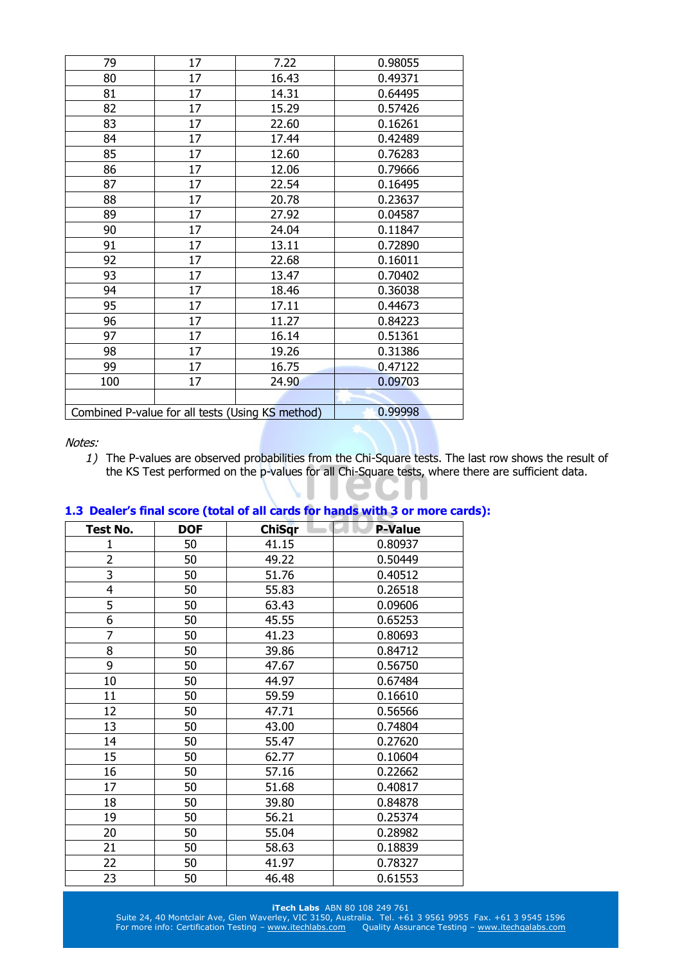| 79  | 17 | 7.22                                             | 0.98055 |
|-----|----|--------------------------------------------------|---------|
| 80  | 17 | 16.43                                            | 0.49371 |
| 81  | 17 | 14.31                                            | 0.64495 |
| 82  | 17 | 15.29                                            | 0.57426 |
| 83  | 17 | 22.60                                            | 0.16261 |
| 84  | 17 | 17.44                                            | 0.42489 |
| 85  | 17 | 12.60                                            | 0.76283 |
| 86  | 17 | 12.06                                            | 0.79666 |
| 87  | 17 | 22.54                                            | 0.16495 |
| 88  | 17 | 20.78                                            | 0.23637 |
| 89  | 17 | 27.92                                            | 0.04587 |
| 90  | 17 | 24.04                                            | 0.11847 |
| 91  | 17 | 13.11                                            | 0.72890 |
| 92  | 17 | 22.68                                            | 0.16011 |
| 93  | 17 | 13.47                                            | 0.70402 |
| 94  | 17 | 18.46                                            | 0.36038 |
| 95  | 17 | 17.11                                            | 0.44673 |
| 96  | 17 | 11.27                                            | 0.84223 |
| 97  | 17 | 16.14                                            | 0.51361 |
| 98  | 17 | 19.26                                            | 0.31386 |
| 99  | 17 | 16.75                                            | 0.47122 |
| 100 | 17 | 24.90                                            | 0.09703 |
|     |    |                                                  |         |
|     |    | Combined P-value for all tests (Using KS method) | 0.99998 |

*1)* The P-values are observed probabilities from the Chi-Square tests. The last row shows the result of the KS Test performed on the p-values for all Chi-Square tests, where there are sufficient data.

| Test No.       | <b>DOF</b> | <b>ChiSqr</b> | <b>P-Value</b> |
|----------------|------------|---------------|----------------|
| 1              | 50         | 41.15         | 0.80937        |
| 2              | 50         | 49.22         | 0.50449        |
| $\overline{3}$ | 50         | 51.76         | 0.40512        |
| $\overline{4}$ | 50         | 55.83         | 0.26518        |
| 5              | 50         | 63.43         | 0.09606        |
| 6              | 50         | 45.55         | 0.65253        |
| 7              | 50         | 41.23         | 0.80693        |
| 8              | 50         | 39.86         | 0.84712        |
| 9              | 50         | 47.67         | 0.56750        |
| 10             | 50         | 44.97         | 0.67484        |
| 11             | 50         | 59.59         | 0.16610        |
| 12             | 50         | 47.71         | 0.56566        |
| 13             | 50         | 43.00         | 0.74804        |
| 14             | 50         | 55.47         | 0.27620        |
| 15             | 50         | 62.77         | 0.10604        |
| 16             | 50         | 57.16         | 0.22662        |
| 17             | 50         | 51.68         | 0.40817        |
| 18             | 50         | 39.80         | 0.84878        |
| 19             | 50         | 56.21         | 0.25374        |
| 20             | 50         | 55.04         | 0.28982        |
| 21             | 50         | 58.63         | 0.18839        |
| 22             | 50         | 41.97         | 0.78327        |
| 23             | 50         | 46.48         | 0.61553        |

### **1.3 Dealer's final score (total of all cards for hands with 3 or more cards):**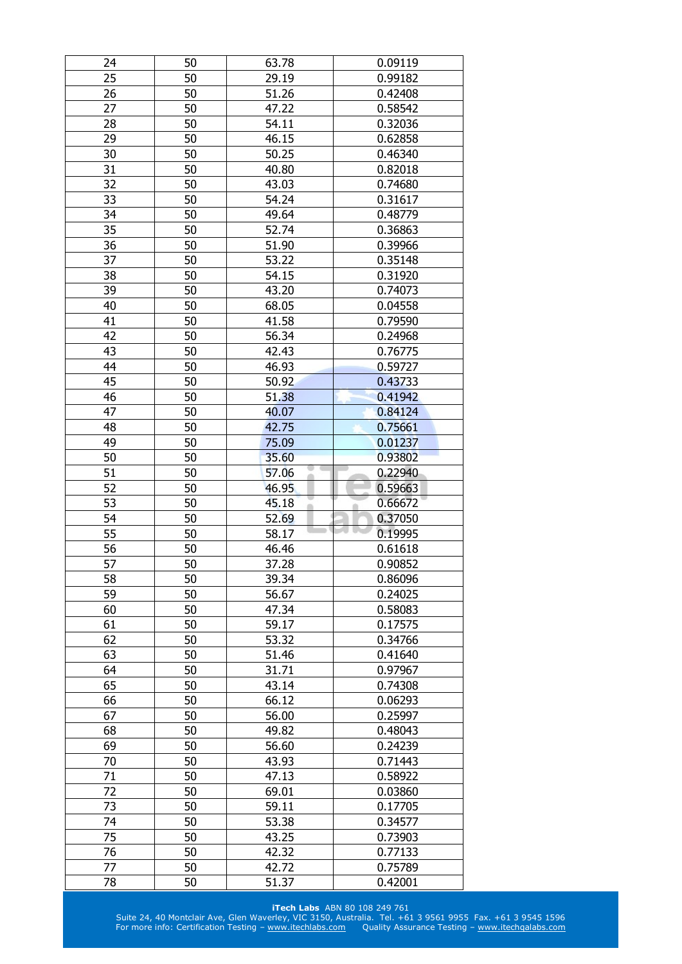| 24 | 50 | 63.78      | 0.09119 |
|----|----|------------|---------|
| 25 | 50 | 29.19      | 0.99182 |
| 26 | 50 | 51.26      | 0.42408 |
| 27 | 50 | 47.22      | 0.58542 |
| 28 | 50 | 54.11      | 0.32036 |
| 29 | 50 | 46.15      | 0.62858 |
| 30 | 50 | 50.25      | 0.46340 |
| 31 | 50 | 40.80      | 0.82018 |
| 32 | 50 | 43.03      | 0.74680 |
| 33 | 50 | 54.24      | 0.31617 |
| 34 | 50 | 49.64      | 0.48779 |
| 35 | 50 | 52.74      | 0.36863 |
| 36 | 50 | 51.90      | 0.39966 |
| 37 | 50 | 53.22      | 0.35148 |
| 38 | 50 | 54.15      | 0.31920 |
| 39 | 50 | 43.20      | 0.74073 |
| 40 | 50 | 68.05      | 0.04558 |
| 41 | 50 | 41.58      | 0.79590 |
| 42 | 50 | 56.34      | 0.24968 |
| 43 | 50 | 42.43      | 0.76775 |
| 44 |    |            |         |
|    | 50 | 46.93      | 0.59727 |
| 45 | 50 | 50.92      | 0.43733 |
| 46 | 50 | 51.38      | 0.41942 |
| 47 | 50 | 40.07      | 0.84124 |
| 48 | 50 | 42.75      | 0.75661 |
| 49 | 50 | 75.09      | 0.01237 |
| 50 | 50 | 35.60      | 0.93802 |
| 51 | 50 | 57.06      | 0.22940 |
| 52 | 50 | 46.95      | 0.59663 |
| 53 | 50 | 45.18<br>ń | 0.66672 |
| 54 | 50 | 52.69      | 0.37050 |
| 55 | 50 | 58.17      | 0.19995 |
| 56 | 50 | 46.46      | 0.61618 |
| 57 | 50 | 37.28      | 0.90852 |
| 58 | 50 | 39.34      | 0.86096 |
| 59 | 50 | 56.67      | 0.24025 |
| 60 | 50 | 47.34      | 0.58083 |
| 61 | 50 | 59.17      | 0.17575 |
| 62 | 50 | 53.32      | 0.34766 |
| 63 | 50 | 51.46      | 0.41640 |
| 64 | 50 | 31.71      | 0.97967 |
| 65 | 50 | 43.14      | 0.74308 |
| 66 | 50 | 66.12      | 0.06293 |
| 67 | 50 | 56.00      | 0.25997 |
| 68 |    |            |         |
| 69 | 50 | 49.82      | 0.48043 |
|    | 50 | 56.60      | 0.24239 |
| 70 | 50 | 43.93      | 0.71443 |
| 71 | 50 | 47.13      | 0.58922 |
| 72 | 50 | 69.01      | 0.03860 |
| 73 | 50 | 59.11      | 0.17705 |
| 74 | 50 | 53.38      | 0.34577 |
| 75 | 50 | 43.25      | 0.73903 |
| 76 | 50 | 42.32      | 0.77133 |
| 77 | 50 | 42.72      | 0.75789 |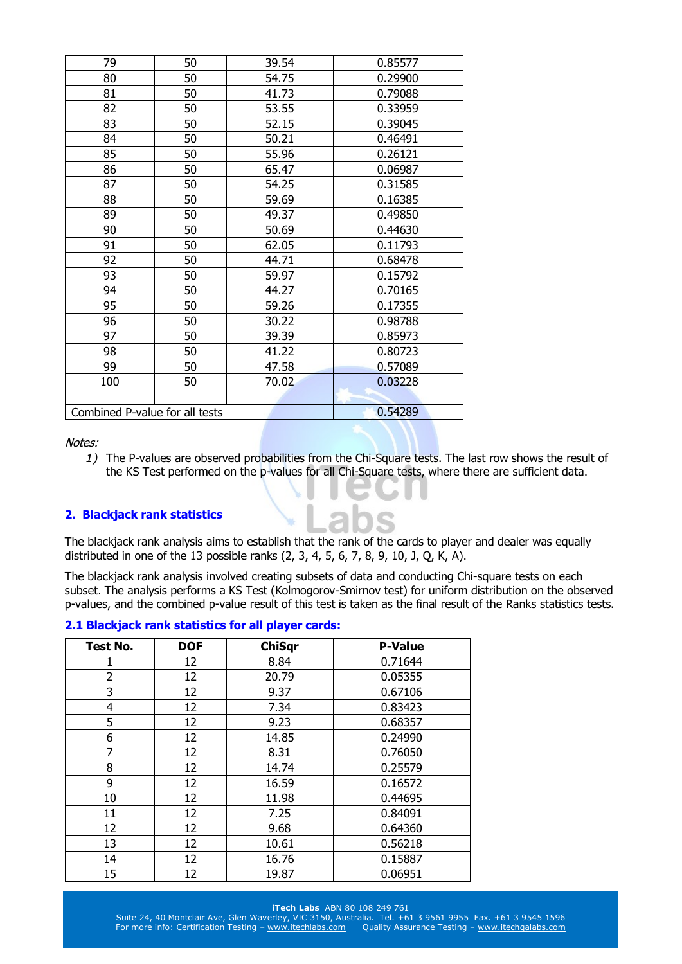| 79                             | 50 | 39.54 | 0.85577 |
|--------------------------------|----|-------|---------|
| 80                             | 50 | 54.75 | 0.29900 |
| 81                             | 50 | 41.73 | 0.79088 |
| 82                             | 50 | 53.55 | 0.33959 |
| 83                             | 50 | 52.15 | 0.39045 |
| 84                             | 50 | 50.21 | 0.46491 |
| 85                             | 50 | 55.96 | 0.26121 |
| 86                             | 50 | 65.47 | 0.06987 |
| 87                             | 50 | 54.25 | 0.31585 |
| 88                             | 50 | 59.69 | 0.16385 |
| 89                             | 50 | 49.37 | 0.49850 |
| 90                             | 50 | 50.69 | 0.44630 |
| 91                             | 50 | 62.05 | 0.11793 |
| 92                             | 50 | 44.71 | 0.68478 |
| 93                             | 50 | 59.97 | 0.15792 |
| 94                             | 50 | 44.27 | 0.70165 |
| 95                             | 50 | 59.26 | 0.17355 |
| 96                             | 50 | 30.22 | 0.98788 |
| 97                             | 50 | 39.39 | 0.85973 |
| 98                             | 50 | 41.22 | 0.80723 |
| 99                             | 50 | 47.58 | 0.57089 |
| 100                            | 50 | 70.02 | 0.03228 |
|                                |    |       |         |
| Combined P-value for all tests |    |       | 0.54289 |

*1)* The P-values are observed probabilities from the Chi-Square tests. The last row shows the result of the KS Test performed on the p-values for all Chi-Square tests, where there are sufficient data.

### **2. Blackjack rank statistics**

The blackjack rank analysis aims to establish that the rank of the cards to player and dealer was equally distributed in one of the 13 possible ranks (2, 3, 4, 5, 6, 7, 8, 9, 10, J, Q, K, A).

The blackjack rank analysis involved creating subsets of data and conducting Chi-square tests on each subset. The analysis performs a KS Test (Kolmogorov-Smirnov test) for uniform distribution on the observed p-values, and the combined p-value result of this test is taken as the final result of the Ranks statistics tests.

|  |  |  |  | 2.1 Blackjack rank statistics for all player cards: |  |  |  |  |
|--|--|--|--|-----------------------------------------------------|--|--|--|--|
|--|--|--|--|-----------------------------------------------------|--|--|--|--|

| Test No.       | <b>DOF</b> | <b>ChiSqr</b> | <b>P-Value</b> |
|----------------|------------|---------------|----------------|
| 1              | 12         | 8.84          | 0.71644        |
| $\overline{2}$ | 12         | 20.79         | 0.05355        |
| 3              | 12         | 9.37          | 0.67106        |
| 4              | 12         | 7.34          | 0.83423        |
| 5              | 12         | 9.23          | 0.68357        |
| 6              | 12         | 14.85         | 0.24990        |
| 7              | 12         | 8.31          | 0.76050        |
| 8              | 12         | 14.74         | 0.25579        |
| 9              | 12         | 16.59         | 0.16572        |
| 10             | 12         | 11.98         | 0.44695        |
| 11             | 12         | 7.25          | 0.84091        |
| 12             | 12         | 9.68          | 0.64360        |
| 13             | 12         | 10.61         | 0.56218        |
| 14             | 12         | 16.76         | 0.15887        |
| 15             | 12         | 19.87         | 0.06951        |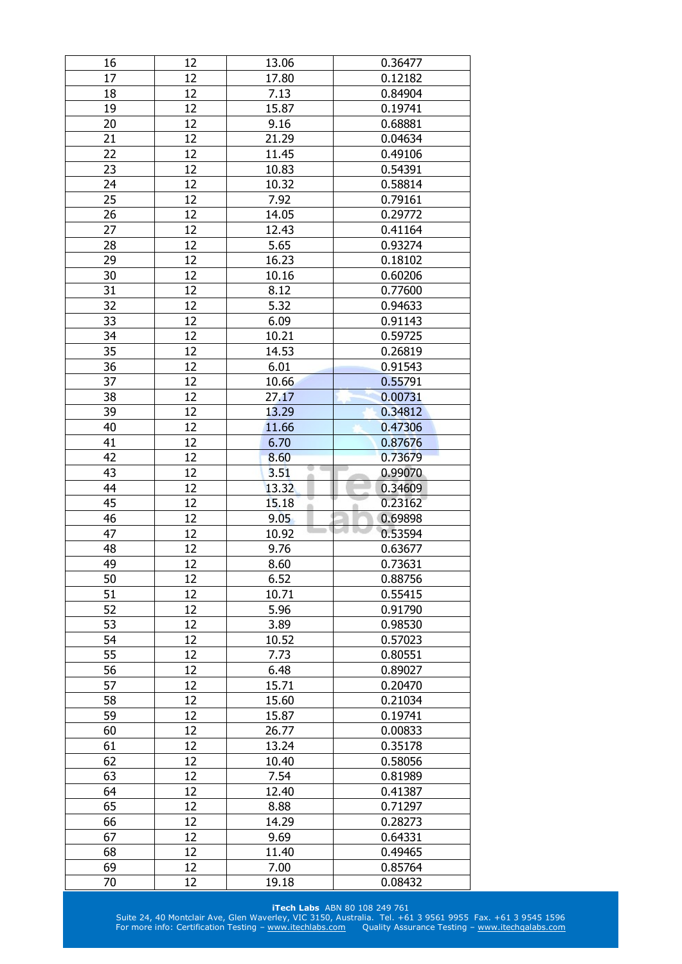| 16       | 12       | 13.06          | 0.36477            |
|----------|----------|----------------|--------------------|
| 17       | 12       | 17.80          | 0.12182            |
| 18       | 12       | 7.13           | 0.84904            |
| 19       | 12       | 15.87          | 0.19741            |
| 20       | 12       | 9.16           | 0.68881            |
| 21       | 12       | 21.29          | 0.04634            |
| 22       | 12       | 11.45          | 0.49106            |
| 23       | 12       | 10.83          | 0.54391            |
| 24       | 12       | 10.32          | 0.58814            |
| 25       | 12       | 7.92           | 0.79161            |
| 26       | 12       | 14.05          | 0.29772            |
| 27       | 12       | 12.43          | 0.41164            |
| 28       | 12       | 5.65           | 0.93274            |
| 29       | 12       | 16.23          | 0.18102            |
| 30       | 12       | 10.16          | 0.60206            |
| 31       | 12       | 8.12           | 0.77600            |
| 32       | 12       | 5.32           | 0.94633            |
| 33       | 12       | 6.09           | 0.91143            |
| 34       | 12       | 10.21          | 0.59725            |
| 35       | 12       | 14.53          | 0.26819            |
| 36       | 12       | 6.01           | 0.91543            |
| 37       | 12       | 10.66          | 0.55791            |
| 38       | 12       | 27.17          | 0.00731            |
| 39       | 12       |                | 0.34812            |
| 40       | 12       | 13.29<br>11.66 | 0.47306            |
| 41       | 12       | 6.70           |                    |
|          |          |                | 0.87676            |
| 42<br>43 | 12<br>12 | 8.60<br>3.51   | 0.73679<br>0.99070 |
|          |          |                |                    |
|          |          |                |                    |
| 44       | 12       | 13.32          | 0.34609            |
| 45       | 12       | 15.18          | 0.23162            |
| 46       | 12       | 9.05           | 0.69898            |
| 47       | 12       | 10.92          | 0.53594            |
| 48       | 12       | 9.76           | 0.63677            |
| 49       | 12       | 8.60           | 0.73631            |
| 50       | 12       | 6.52           | 0.88756            |
| 51       | 12       | 10.71          | 0.55415            |
| 52       | 12       | 5.96           | 0.91790            |
| 53       | 12       | 3.89           | 0.98530            |
| 54       | 12       | 10.52          | 0.57023            |
| 55       | 12       | 7.73           | 0.80551            |
| 56       | 12       | 6.48           | 0.89027            |
| 57       | 12       | 15.71          | 0.20470            |
| 58       | 12       | 15.60          | 0.21034            |
| 59       | 12       | 15.87          | 0.19741            |
| 60       | 12       | 26.77          | 0.00833            |
| 61       | 12       | 13.24          | 0.35178            |
| 62       | 12       | 10.40          | 0.58056            |
| 63       | 12       | 7.54           | 0.81989            |
| 64       | 12       | 12.40          | 0.41387            |
| 65       | 12       | 8.88           | 0.71297            |
| 66       | 12       | 14.29          | 0.28273            |
| 67       | 12       | 9.69           | 0.64331            |
| 68       | 12       | 11.40          | 0.49465            |
| 69<br>70 | 12<br>12 | 7.00<br>19.18  | 0.85764<br>0.08432 |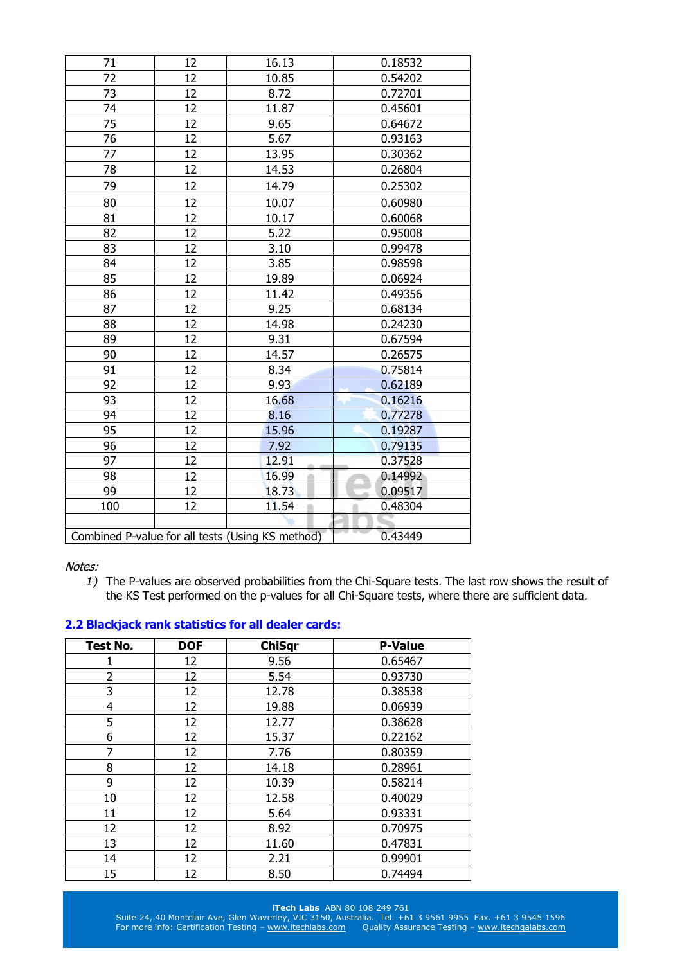| 71  | 12 | 16.13                                            | 0.18532 |
|-----|----|--------------------------------------------------|---------|
| 72  | 12 | 10.85                                            | 0.54202 |
| 73  | 12 | 8.72                                             | 0.72701 |
| 74  | 12 | 11.87                                            | 0.45601 |
| 75  | 12 | 9.65                                             | 0.64672 |
| 76  | 12 | 5.67                                             | 0.93163 |
| 77  | 12 | 13.95                                            | 0.30362 |
| 78  | 12 | 14.53                                            | 0.26804 |
| 79  | 12 | 14.79                                            | 0.25302 |
| 80  | 12 | 10.07                                            | 0.60980 |
| 81  | 12 | 10.17                                            | 0.60068 |
| 82  | 12 | 5.22                                             | 0.95008 |
| 83  | 12 | 3.10                                             | 0.99478 |
| 84  | 12 | 3.85                                             | 0.98598 |
| 85  | 12 | 19.89                                            | 0.06924 |
| 86  | 12 | 11.42                                            | 0.49356 |
| 87  | 12 | 9.25                                             | 0.68134 |
| 88  | 12 | 14.98                                            | 0.24230 |
| 89  | 12 | 9.31                                             | 0.67594 |
| 90  | 12 | 14.57                                            | 0.26575 |
| 91  | 12 | 8.34                                             | 0.75814 |
| 92  | 12 | 9.93                                             | 0.62189 |
| 93  | 12 | 16.68                                            | 0.16216 |
| 94  | 12 | 8.16                                             | 0.77278 |
| 95  | 12 | 15.96                                            | 0.19287 |
| 96  | 12 | 7.92                                             | 0.79135 |
| 97  | 12 | 12.91                                            | 0.37528 |
| 98  | 12 | 16.99                                            | 0.14992 |
| 99  | 12 | 18.73                                            | 0.09517 |
| 100 | 12 | 11.54                                            | 0.48304 |
|     |    |                                                  |         |
|     |    | Combined P-value for all tests (Using KS method) | 0.43449 |

*1)* The P-values are observed probabilities from the Chi-Square tests. The last row shows the result of the KS Test performed on the p-values for all Chi-Square tests, where there are sufficient data.

| 2.2 Blackjack rank statistics for all dealer cards: |
|-----------------------------------------------------|
|-----------------------------------------------------|

| Test No.       | <b>DOF</b> | <b>ChiSqr</b> | <b>P-Value</b> |
|----------------|------------|---------------|----------------|
| 1              | 12         | 9.56          | 0.65467        |
| $\overline{2}$ | 12         | 5.54          | 0.93730        |
| 3              | 12         | 12.78         | 0.38538        |
| $\overline{4}$ | 12         | 19.88         | 0.06939        |
| 5              | 12         | 12.77         | 0.38628        |
| 6              | 12         | 15.37         | 0.22162        |
| 7              | 12         | 7.76          | 0.80359        |
| 8              | 12         | 14.18         | 0.28961        |
| 9              | 12         | 10.39         | 0.58214        |
| 10             | 12         | 12.58         | 0.40029        |
| 11             | 12         | 5.64          | 0.93331        |
| 12             | 12         | 8.92          | 0.70975        |
| 13             | 12         | 11.60         | 0.47831        |
| 14             | 12         | 2.21          | 0.99901        |
| 15             | 12         | 8.50          | 0.74494        |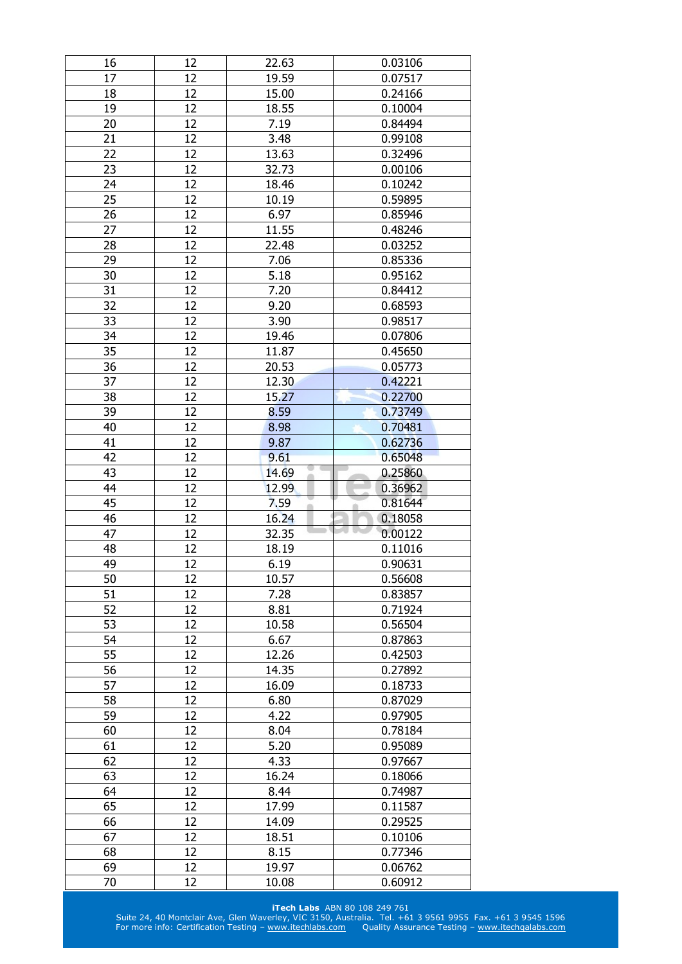| 16 | 12 | 22.63 | 0.03106 |
|----|----|-------|---------|
| 17 | 12 | 19.59 | 0.07517 |
| 18 | 12 | 15.00 | 0.24166 |
| 19 | 12 | 18.55 | 0.10004 |
| 20 | 12 | 7.19  | 0.84494 |
| 21 | 12 | 3.48  | 0.99108 |
| 22 | 12 | 13.63 | 0.32496 |
| 23 | 12 | 32.73 | 0.00106 |
| 24 | 12 | 18.46 | 0.10242 |
| 25 | 12 | 10.19 | 0.59895 |
| 26 | 12 | 6.97  | 0.85946 |
| 27 | 12 | 11.55 | 0.48246 |
| 28 | 12 | 22.48 | 0.03252 |
| 29 | 12 | 7.06  | 0.85336 |
| 30 | 12 | 5.18  | 0.95162 |
| 31 | 12 | 7.20  | 0.84412 |
| 32 | 12 | 9.20  | 0.68593 |
| 33 | 12 | 3.90  | 0.98517 |
| 34 | 12 | 19.46 | 0.07806 |
| 35 | 12 | 11.87 | 0.45650 |
| 36 | 12 | 20.53 | 0.05773 |
| 37 | 12 | 12.30 |         |
|    | 12 | 15.27 | 0.42221 |
| 38 |    |       | 0.22700 |
| 39 | 12 | 8.59  | 0.73749 |
| 40 | 12 | 8.98  | 0.70481 |
| 41 | 12 | 9.87  | 0.62736 |
| 42 | 12 | 9.61  | 0.65048 |
| 43 | 12 | 14.69 | 0.25860 |
| 44 | 12 | 12.99 | 0.36962 |
| 45 | 12 | 7.59  | 0.81644 |
|    |    |       |         |
| 46 | 12 | 16.24 | 0.18058 |
| 47 | 12 | 32.35 | 0.00122 |
| 48 | 12 | 18.19 | 0.11016 |
| 49 | 12 | 6.19  | 0.90631 |
| 50 | 12 | 10.57 | 0.56608 |
| 51 | 12 | 7.28  | 0.83857 |
| 52 | 12 | 8.81  | 0.71924 |
| 53 | 12 | 10.58 | 0.56504 |
| 54 | 12 | 6.67  | 0.87863 |
| 55 | 12 | 12.26 | 0.42503 |
| 56 | 12 | 14.35 | 0.27892 |
| 57 | 12 | 16.09 | 0.18733 |
| 58 | 12 | 6.80  | 0.87029 |
| 59 | 12 | 4.22  | 0.97905 |
| 60 | 12 | 8.04  | 0.78184 |
| 61 | 12 | 5.20  | 0.95089 |
| 62 | 12 | 4.33  | 0.97667 |
| 63 | 12 | 16.24 | 0.18066 |
| 64 | 12 | 8.44  | 0.74987 |
| 65 | 12 | 17.99 | 0.11587 |
| 66 | 12 | 14.09 | 0.29525 |
| 67 | 12 | 18.51 | 0.10106 |
| 68 | 12 | 8.15  | 0.77346 |
| 69 | 12 | 19.97 | 0.06762 |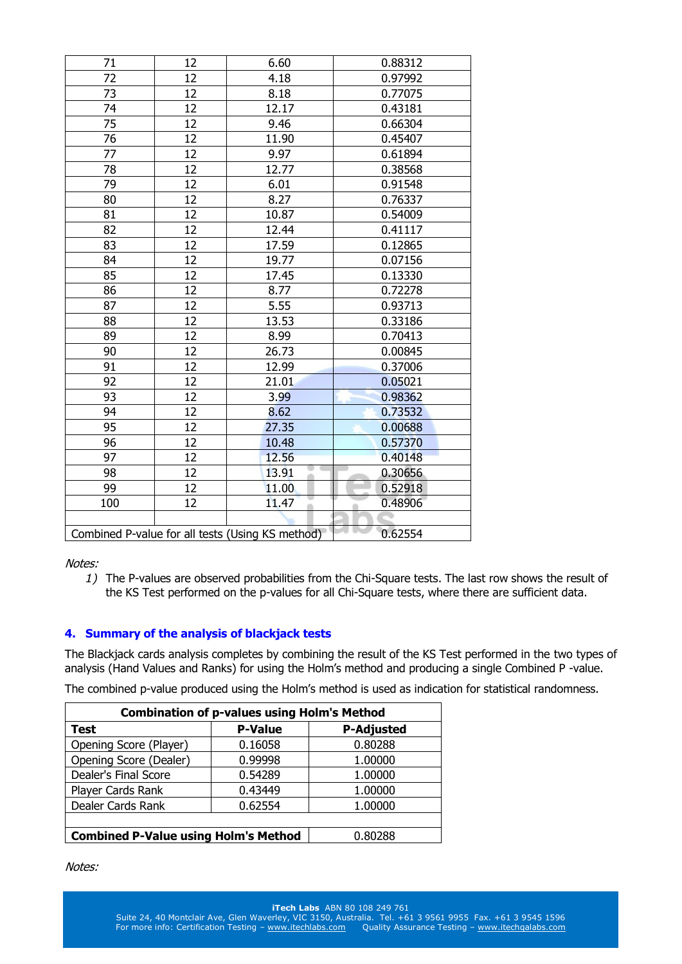| 71  | 12 | 6.60                                             | 0.88312 |
|-----|----|--------------------------------------------------|---------|
| 72  | 12 | 4.18                                             | 0.97992 |
| 73  | 12 | 8.18                                             | 0.77075 |
| 74  | 12 | 12.17                                            | 0.43181 |
| 75  | 12 | 9.46                                             | 0.66304 |
| 76  | 12 | 11.90                                            | 0.45407 |
| 77  | 12 | 9.97                                             | 0.61894 |
| 78  | 12 | 12.77                                            | 0.38568 |
| 79  | 12 | 6.01                                             | 0.91548 |
| 80  | 12 | 8.27                                             | 0.76337 |
| 81  | 12 | 10.87                                            | 0.54009 |
| 82  | 12 | 12.44                                            | 0.41117 |
| 83  | 12 | 17.59                                            | 0.12865 |
| 84  | 12 | 19.77                                            | 0.07156 |
| 85  | 12 | 17.45                                            | 0.13330 |
| 86  | 12 | 8.77                                             | 0.72278 |
| 87  | 12 | 5.55                                             | 0.93713 |
| 88  | 12 | 13.53                                            | 0.33186 |
| 89  | 12 | 8.99                                             | 0.70413 |
| 90  | 12 | 26.73                                            | 0.00845 |
| 91  | 12 | 12.99                                            | 0.37006 |
| 92  | 12 | 21.01                                            | 0.05021 |
| 93  | 12 | 3.99                                             | 0.98362 |
| 94  | 12 | 8.62                                             | 0.73532 |
| 95  | 12 | 27.35                                            | 0.00688 |
| 96  | 12 | 10.48                                            | 0.57370 |
| 97  | 12 | 12.56                                            | 0.40148 |
| 98  | 12 | 13.91<br>ä                                       | 0.30656 |
| 99  | 12 | 11.00                                            | 0.52918 |
| 100 | 12 | 11.47                                            | 0.48906 |
|     |    |                                                  |         |
|     |    | Combined P-value for all tests (Using KS method) | 0.62554 |

*1)* The P-values are observed probabilities from the Chi-Square tests. The last row shows the result of the KS Test performed on the p-values for all Chi-Square tests, where there are sufficient data.

## **4. Summary of the analysis of blackjack tests**

The Blackjack cards analysis completes by combining the result of the KS Test performed in the two types of analysis (Hand Values and Ranks) for using the Holm's method and producing a single Combined P -value.

The combined p-value produced using the Holm's method is used as indication for statistical randomness.

| <b>Combination of p-values using Holm's Method</b> |                |                   |  |
|----------------------------------------------------|----------------|-------------------|--|
| Test                                               | <b>P-Value</b> | <b>P-Adjusted</b> |  |
| Opening Score (Player)                             | 0.16058        | 0.80288           |  |
| Opening Score (Dealer)                             | 0.99998        | 1.00000           |  |
| Dealer's Final Score                               | 0.54289        | 1.00000           |  |
| Player Cards Rank                                  | 0.43449        | 1.00000           |  |
| Dealer Cards Rank                                  | 0.62554        | 1.00000           |  |
|                                                    |                |                   |  |
| <b>Combined P-Value using Holm's Method</b>        | 0.80288        |                   |  |

Notes: